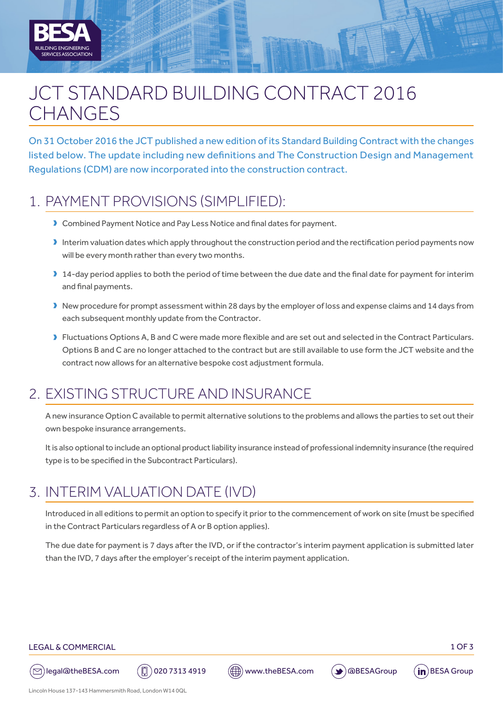

On 31 October 2016 the JCT published a new edition of its Standard Building Contract with the changes listed below. The update including new definitions and The Construction Design and Management Regulations (CDM) are now incorporated into the construction contract.

# 1. PAYMENT PROVISIONS (SIMPLIFIED):

BUILDING ENGINEERING

SERVICES ASSOCIATION

**A**

- **D** Combined Payment Notice and Pay Less Notice and final dates for payment.
- $\blacktriangleright$  Interim valuation dates which apply throughout the construction period and the rectification period payments now will be every month rather than every two months.
- 14-day period applies to both the period of time between the due date and the final date for payment for interim and final payments.
- I New procedure for prompt assessment within 28 days by the employer of loss and expense claims and 14 days from each subsequent monthly update from the Contractor.
- **D** Fluctuations Options A, B and C were made more flexible and are set out and selected in the Contract Particulars. Options B and C are no longer attached to the contract but are still available to use form the JCT website and the contract now allows for an alternative bespoke cost adjustment formula.

#### 2. EXISTING STRUCTURE AND INSURANCE

A new insurance Option C available to permit alternative solutions to the problems and allows the parties to set out their own bespoke insurance arrangements.

It is also optional to include an optional product liability insurance instead of professional indemnity insurance (the required type is to be specified in the Subcontract Particulars).

### 3. INTERIM VALUATION DATE (IVD)

Introduced in all editions to permit an option to specify it prior to the commencement of work on site (must be specified in the Contract Particulars regardless of A or B option applies).

The due date for payment is 7 days after the IVD, or if the contractor's interim payment application is submitted later than the IVD, 7 days after the employer's receipt of the interim payment application.

#### LEGAL & COMMERCIAL 2007 2008 12:00 12:00 12:00 12:00 12:00 13:00 13:00 13:00 13:00 13:00 13:00 13:00 13:00 13:00 13:00 13:00 13:00 13:00 13:00 13:00 13:00 13:00 13:00 13:00 13:00 13:00 13:00 13:00 13:00 13:00 13:00 13:00 1



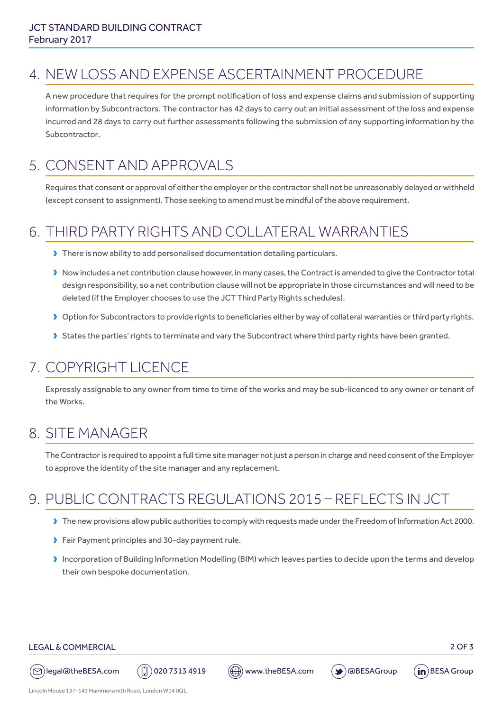## 4. NEW LOSS AND EXPENSE ASCERTAINMENT PROCEDURE

A new procedure that requires for the prompt notification of loss and expense claims and submission of supporting information by Subcontractors. The contractor has 42 days to carry out an initial assessment of the loss and expense incurred and 28 days to carry out further assessments following the submission of any supporting information by the Subcontractor.

### 5. CONSENT AND APPROVALS

Requires that consent or approval of either the employer or the contractor shall not be unreasonably delayed or withheld (except consent to assignment). Those seeking to amend must be mindful of the above requirement.

## 6. THIRD PARTY RIGHTS AND COLLATERAL WARRANTIES

- There is now ability to add personalised documentation detailing particulars.
- I Now includes a net contribution clause however, in many cases, the Contract is amended to give the Contractor total design responsibility, so a net contribution clause will not be appropriate in those circumstances and will need to be deleted (if the Employer chooses to use the JCT Third Party Rights schedules).
- Duption for Subcontractors to provide rights to beneficiaries either by way of collateral warranties or third party rights.
- **D** States the parties' rights to terminate and vary the Subcontract where third party rights have been granted.

#### 7. COPYRIGHT LICENCE

Expressly assignable to any owner from time to time of the works and may be sub-licenced to any owner or tenant of the Works.

### 8. SITE MANAGER

The Contractor is required to appoint a full time site manager not just a person in charge and need consent of the Employer to approve the identity of the site manager and any replacement.

## 9. PUBLIC CONTRACTS REGULATIONS 2015 – REFLECTS IN JCT

- D The new provisions allow public authorities to comply with requests made under the Freedom of Information Act 2000.
- Dualism Fair Payment principles and 30-day payment rule.
- Incorporation of Building Information Modelling (BIM) which leaves parties to decide upon the terms and develop their own bespoke documentation.

#### LEGAL & COMMERCIAL 2 OF 3